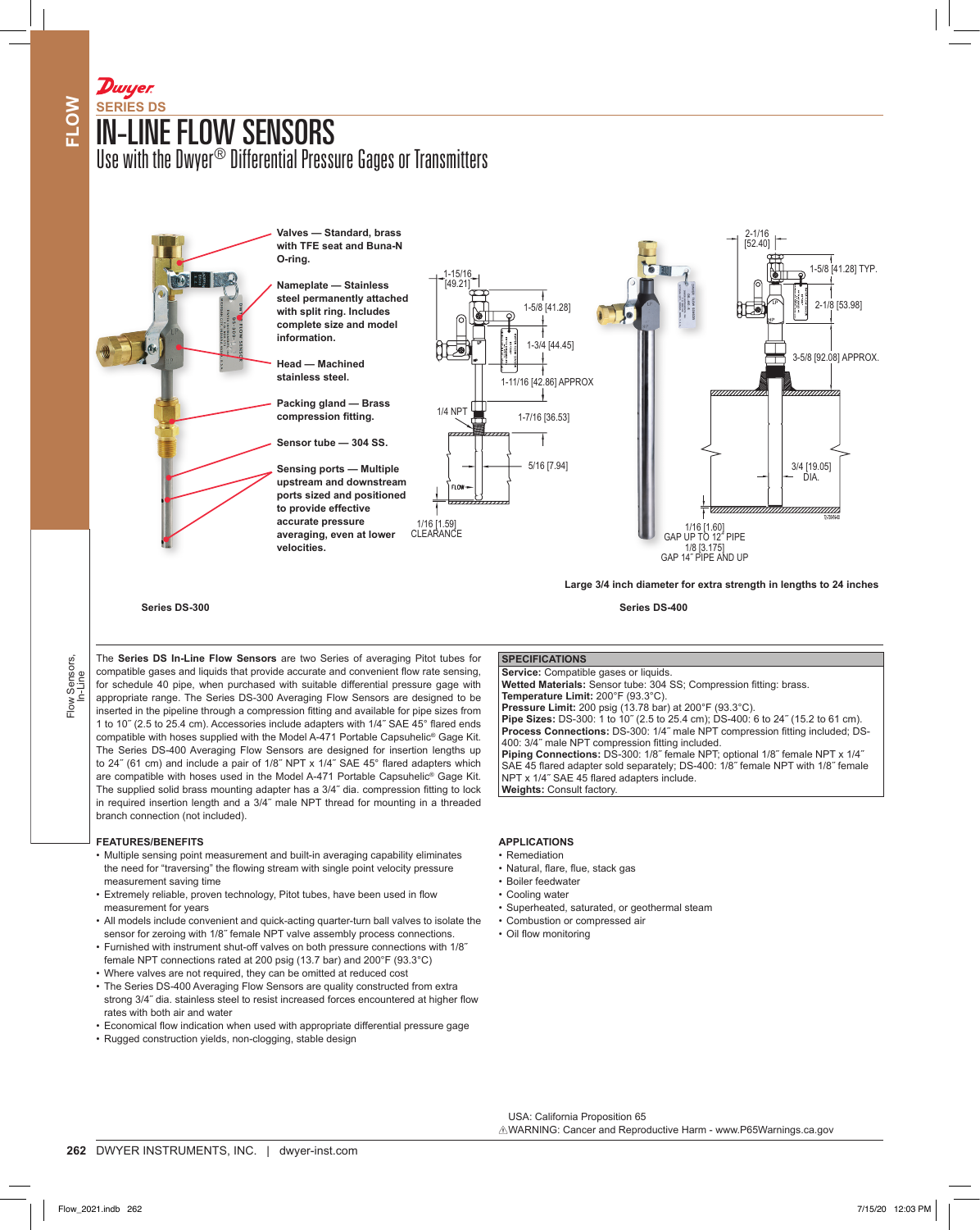# IN-LINE FLOW SENSORS **SERIES DS**

Dwyer

Use with the Dwyer® Differential Pressure Gages or Transmitters



The **Series DS In-Line Flow Sensors** are two Series of averaging Pitot tubes for compatible gases and liquids that provide accurate and convenient flow rate sensing, for schedule 40 pipe, when purchased with suitable differential pressure gage with appropriate range. The Series DS-300 Averaging Flow Sensors are designed to be inserted in the pipeline through a compression fitting and available for pipe sizes from 1 to 10˝ (2.5 to 25.4 cm). Accessories include adapters with 1/4˝ SAE 45° flared ends compatible with hoses supplied with the Model A-471 Portable Capsuhelic® Gage Kit. The Series DS-400 Averaging Flow Sensors are designed for insertion lengths up to 24˝ (61 cm) and include a pair of 1/8˝ NPT x 1/4˝ SAE 45° flared adapters which are compatible with hoses used in the Model A-471 Portable Capsuhelic® Gage Kit. The supplied solid brass mounting adapter has a 3/4˝ dia. compression fitting to lock in required insertion length and a 3/4˝ male NPT thread for mounting in a threaded branch connection (not included).

## **FEATURES/BENEFITS**

- Multiple sensing point measurement and built-in averaging capability eliminates the need for "traversing" the flowing stream with single point velocity pressure measurement saving time
- Extremely reliable, proven technology, Pitot tubes, have been used in flow measurement for years
- All models include convenient and quick-acting quarter-turn ball valves to isolate the sensor for zeroing with 1/8" female NPT valve assembly process connections.
- Furnished with instrument shut-off valves on both pressure connections with 1/8˝ female NPT connections rated at 200 psig (13.7 bar) and 200°F (93.3°C)
- Where valves are not required, they can be omitted at reduced cost
- The Series DS-400 Averaging Flow Sensors are quality constructed from extra strong 3/4˝ dia. stainless steel to resist increased forces encountered at higher flow rates with both air and water
- Economical flow indication when used with appropriate differential pressure gage
- Rugged construction yields, non-clogging, stable design

**SPECIFICATIONS**

**Service:** Compatible gases or liquids.

**Temperature Limit:** 200°F (93.3°C).

**Wetted Materials:** Sensor tube: 304 SS; Compression fitting: brass.

**Pipe Sizes:** DS-300: 1 to 10˝ (2.5 to 25.4 cm); DS-400: 6 to 24˝ (15.2 to 61 cm). **Process Connections:** DS-300: 1/4" male NPT compression fitting included; DS-

**Piping Connections:** DS-300: 1/8˝ female NPT; optional 1/8˝ female NPT x 1/4˝ SAE 45 flared adapter sold separately; DS-400: 1/8˝ female NPT with 1/8˝ female

**Pressure Limit:** 200 psig (13.78 bar) at 200°F (93.3°C).

400: 3/4˝ male NPT compression fitting included.

NPT x 1/4˝ SAE 45 flared adapters include.

- **APPLICATIONS**
- Remediation
- Natural, flare, flue, stack gas

**Weights:** Consult factory.

- Boiler feedwater
- Cooling water
- Superheated, saturated, or geothermal steam
- Combustion or compressed air
- Oil flow monitoring